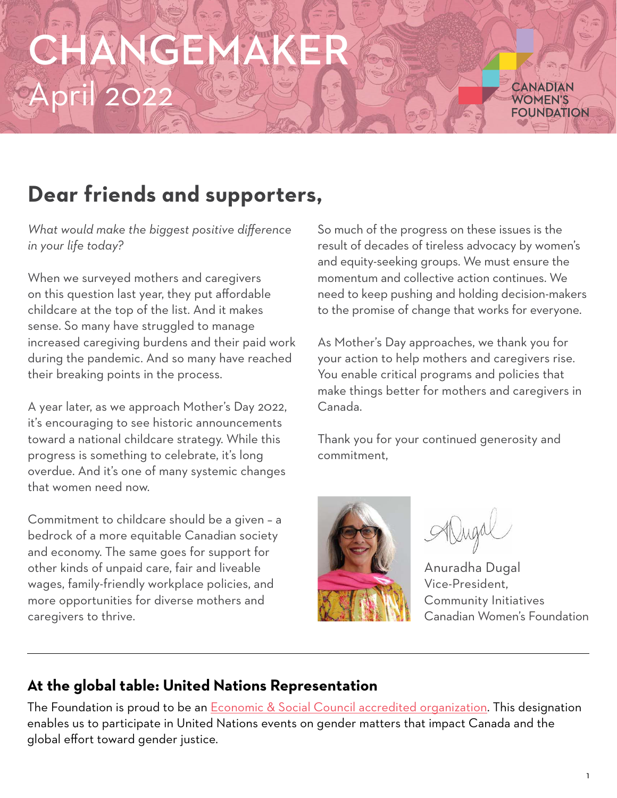# CHANGEMAKER April 2022

CANADIAN WOMFN'S **FOUNDATION** 

#### **Dear friends and supporters,**

*What would make the biggest positive difference in your life today?*

When we surveyed mothers and caregivers on this question last year, they put affordable childcare at the top of the list. And it makes sense. So many have struggled to manage increased caregiving burdens and their paid work during the pandemic. And so many have reached their breaking points in the process.

A year later, as we approach Mother's Day 2022, it's encouraging to see historic announcements toward a national childcare strategy. While this progress is something to celebrate, it's long overdue. And it's one of many systemic changes that women need now.

Commitment to childcare should be a given – a bedrock of a more equitable Canadian society and economy. The same goes for support for other kinds of unpaid care, fair and liveable wages, family-friendly workplace policies, and more opportunities for diverse mothers and caregivers to thrive.

So much of the progress on these issues is the result of decades of tireless advocacy by women's and equity-seeking groups. We must ensure the momentum and collective action continues. We need to keep pushing and holding decision-makers to the promise of change that works for everyone.

As Mother's Day approaches, we thank you for your action to help mothers and caregivers rise. You enable critical programs and policies that make things better for mothers and caregivers in Canada.

Thank you for your continued generosity and commitment,



Anuradha Dugal Vice-President, Community Initiatives Canadian Women's Foundation

#### **At the global table: United Nations Representation**

The Foundation is proud to be an **Economic & Social Council accredited organization**. This designation enables us to participate in United Nations events on gender matters that impact Canada and the global effort toward gender justice.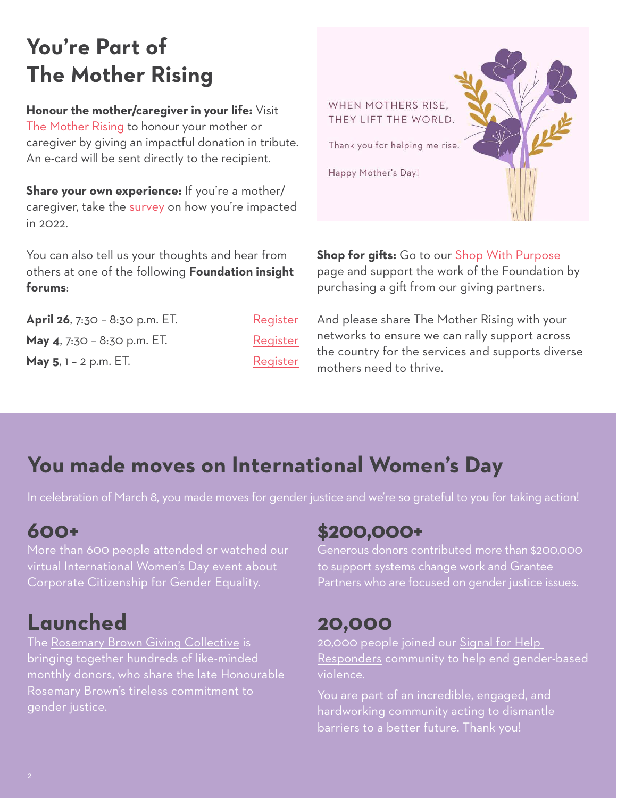## **You're Part of The Mother Rising**

**Honour the mother/caregiver in your life:** Visit [The Mother Rising](https://canadianwomen.org/the-mother-rising/) to honour your mother or caregiver by giving an impactful donation in tribute. An e-card will be sent directly to the recipient.

**Share your own experience:** If you're a mother/ caregiver, take the [survey](https://www.surveymonkey.com/r/MMWYJK2) on how you're impacted in 2022.

You can also tell us your thoughts and hear from others at one of the following **Foundation insight forums**:

**April 26**, 7:30 - 8:30 p.m. ET. May 4, 7:30 - 8:30 p.m. ET. **May 5**, 1 – 2 p.m. ET.

| Register |
|----------|
| Register |
| Register |

WHEN MOTHERS RISE. THEY LIFT THE WORLD. Thank you for helping me rise. Happy Mother's Day!

**Shop for gifts:** Go to our [Shop With Purpose](https://canadianwomen.org/get-involved/shop/) page and support the work of the Foundation by purchasing a gift from our giving partners.

And please share The Mother Rising with your networks to ensure we can rally support across the country for the services and supports diverse mothers need to thrive.

### **You made moves on International Women's Day**

In celebration of March 8, you made moves for gender justice and we're so grateful to you for taking action!

#### **600+**

More than 600 people attended or watched our virtual International Women's Day event about [Corporate Citizenship for Gender Equality.](https://youtu.be/TkqjBdbs2NA)

#### **Launched**

The [Rosemary Brown Giving Collective](http://support.canadianwomen.org/site/Donation2?df_id=2446&mfc_pref=T&2446.donation=form1&mfc_pref=T&s_locale=en_ca) is bringing together hundreds of like-minded monthly donors, who share the late Honourable Rosemary Brown's tireless commitment to gender justice.

#### **\$200,000+**

Generous donors contributed more than \$200,000 to support systems change work and Grantee Partners who are focused on gender justice issues.

#### **20,000**

20,000 people joined our [Signal for Help](https://action.canadianwomen.org/signal-responder)  [Responders](https://action.canadianwomen.org/signal-responder) community to help end gender-based violence.

You are part of an incredible, engaged, and hardworking community acting to dismantle barriers to a better future. Thank you!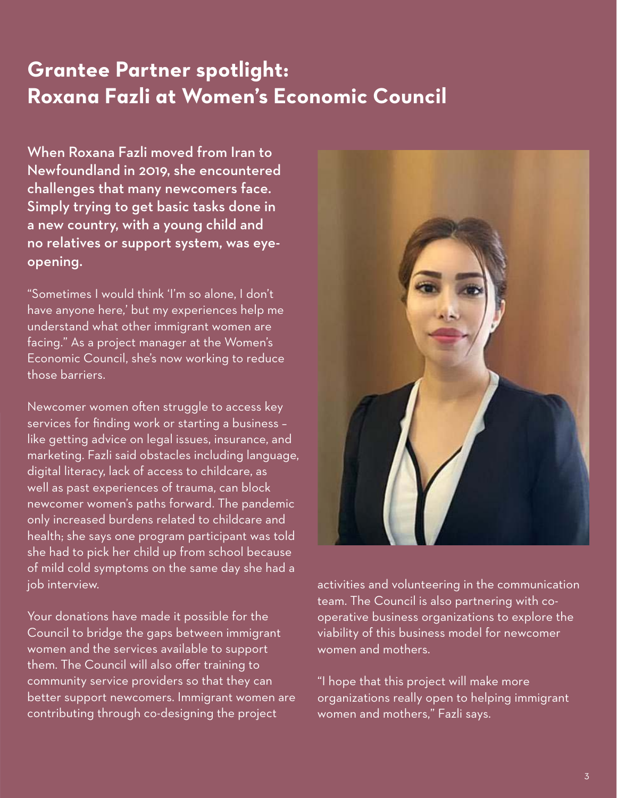#### **Grantee Partner spotlight: Roxana Fazli at Women's Economic Council**

When Roxana Fazli moved from Iran to Newfoundland in 2019, she encountered challenges that many newcomers face. Simply trying to get basic tasks done in a new country, with a young child and no relatives or support system, was eyeopening.

"Sometimes I would think 'I'm so alone, I don't have anyone here,' but my experiences help me understand what other immigrant women are facing." As a project manager at the Women's Economic Council, she's now working to reduce those barriers.

Newcomer women often struggle to access key services for finding work or starting a business – like getting advice on legal issues, insurance, and marketing. Fazli said obstacles including language, digital literacy, lack of access to childcare, as well as past experiences of trauma, can block newcomer women's paths forward. The pandemic only increased burdens related to childcare and health; she says one program participant was told she had to pick her child up from school because of mild cold symptoms on the same day she had a job interview.

Your donations have made it possible for the Council to bridge the gaps between immigrant women and the services available to support them. The Council will also offer training to community service providers so that they can better support newcomers. Immigrant women are contributing through co-designing the project



activities and volunteering in the communication team. The Council is also partnering with cooperative business organizations to explore the viability of this business model for newcomer women and mothers.

"I hope that this project will make more organizations really open to helping immigrant women and mothers," Fazli says.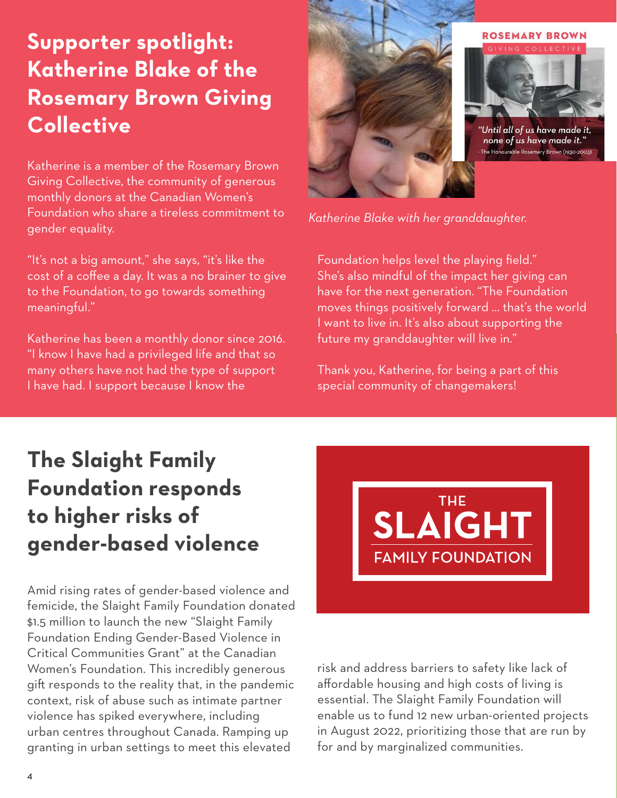#### **Supporter spotlight: Katherine Blake of the Rosemary Brown Giving Collective**

Katherine is a member of the Rosemary Brown Giving Collective, the community of generous monthly donors at the Canadian Women's Foundation who share a tireless commitment to gender equality.

"It's not a big amount," she says, "it's like the cost of a coffee a day. It was a no brainer to give to the Foundation, to go towards something meaningful."

Katherine has been a monthly donor since 2016. "I know I have had a privileged life and that so many others have not had the type of support I have had. I support because I know the



'Until all of us have made it, none of us have made it." The Honourable Rosemary Brown (1930-2003)

*Katherine Blake with her granddaughter.*

Foundation helps level the playing field." She's also mindful of the impact her giving can have for the next generation. "The Foundation moves things positively forward … that's the world I want to live in. It's also about supporting the future my granddaughter will live in."

Thank you, Katherine, for being a part of this special community of changemakers!

## **The Slaight Family Foundation responds to higher risks of gender-based violence**

Amid rising rates of gender-based violence and femicide, the Slaight Family Foundation donated \$1.5 million to launch the new "Slaight Family Foundation Ending Gender-Based Violence in Critical Communities Grant" at the Canadian Women's Foundation. This incredibly generous gift responds to the reality that, in the pandemic context, risk of abuse such as intimate partner violence has spiked everywhere, including urban centres throughout Canada. Ramping up granting in urban settings to meet this elevated



risk and address barriers to safety like lack of affordable housing and high costs of living is essential. The Slaight Family Foundation will enable us to fund 12 new urban-oriented projects in August 2022, prioritizing those that are run by for and by marginalized communities.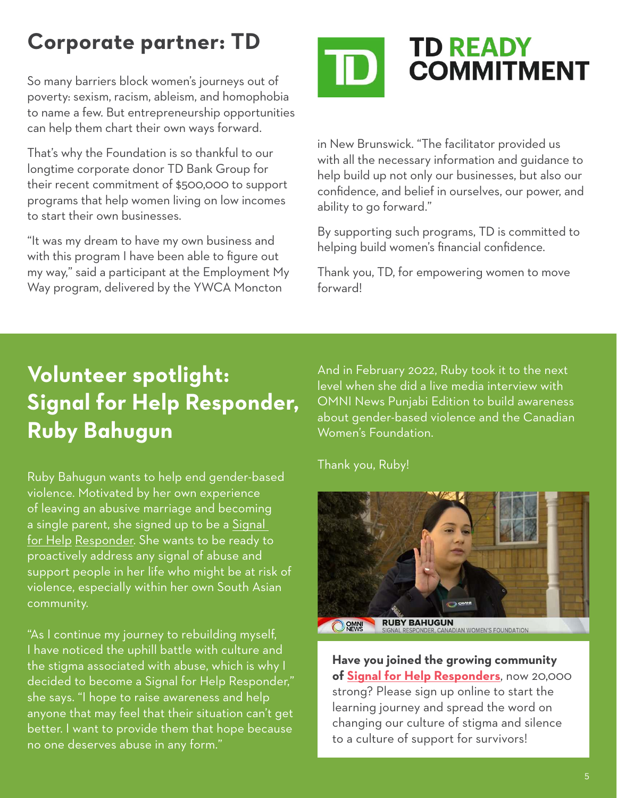#### **Corporate partner: TD**

So many barriers block women's journeys out of poverty: sexism, racism, ableism, and homophobia to name a few. But entrepreneurship opportunities can help them chart their own ways forward.

That's why the Foundation is so thankful to our longtime corporate donor TD Bank Group for their recent commitment of \$500,000 to support programs that help women living on low incomes to start their own businesses.

"It was my dream to have my own business and with this program I have been able to figure out my way," said a participant at the Employment My Way program, delivered by the YWCA Moncton



in New Brunswick. "The facilitator provided us with all the necessary information and guidance to help build up not only our businesses, but also our confidence, and belief in ourselves, our power, and ability to go forward."

By supporting such programs, TD is committed to helping build women's financial confidence.

Thank you, TD, for empowering women to move forward!

#### **Volunteer spotlight: Signal for Help Responder, Ruby Bahugun**

Ruby Bahugun wants to help end gender-based violence. Motivated by her own experience of leaving an abusive marriage and becoming a single parent, she signed up to be a [Signal](https://action.canadianwomen.org/signal-responder)  [for Help Responder](https://action.canadianwomen.org/signal-responder). She wants to be ready to proactively address any signal of abuse and support people in her life who might be at risk of violence, especially within her own South Asian community.

"As I continue my journey to rebuilding myself, I have noticed the uphill battle with culture and the stigma associated with abuse, which is why I decided to become a Signal for Help Responder," she says. "I hope to raise awareness and help anyone that may feel that their situation can't get better. I want to provide them that hope because no one deserves abuse in any form."

And in February 2022, Ruby took it to the next level when she did a live media interview with OMNI News Punjabi Edition to build awareness about gender-based violence and the Canadian Women's Foundation.

Thank you, Ruby!



**Have you joined the growing community of [Signal for Help Responders](https://action.canadianwomen.org/signal-responder)**, now 20,000 strong? Please sign up online to start the learning journey and spread the word on changing our culture of stigma and silence to a culture of support for survivors!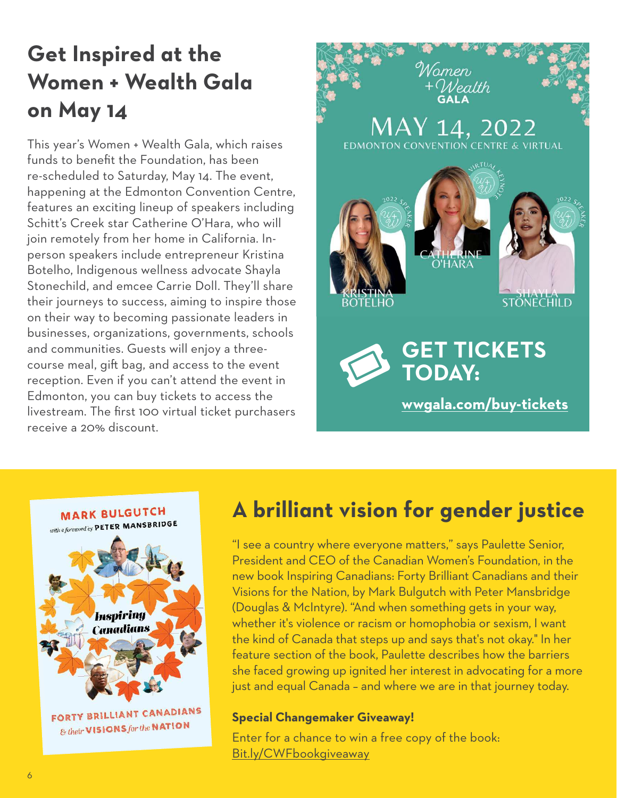### **Get Inspired at the Women + Wealth Gala on May 14**

This year's Women + Wealth Gala, which raises funds to benefit the Foundation, has been re-scheduled to Saturday, May 14. The event, happening at the Edmonton Convention Centre, features an exciting lineup of speakers including Schitt's Creek star Catherine O'Hara, who will join remotely from her home in California. Inperson speakers include entrepreneur Kristina Botelho, Indigenous wellness advocate Shayla Stonechild, and emcee Carrie Doll. They'll share their journeys to success, aiming to inspire those on their way to becoming passionate leaders in businesses, organizations, governments, schools and communities. Guests will enjoy a threecourse meal, gift bag, and access to the event reception. Even if you can't attend the event in Edmonton, you can buy tickets to access the livestream. The first 100 virtual ticket purchasers receive a 20% discount.



## **MARK BULGUTCH** with a foreword by PETER MANSBRIDGE **Inspiring Canadians** FORTY BRILLIANT CANADIANS & their VISIONS for the NATION

#### **A brilliant vision for gender justice**

"I see a country where everyone matters," says Paulette Senior, President and CEO of the Canadian Women's Foundation, in the new book Inspiring Canadians: Forty Brilliant Canadians and their Visions for the Nation, by Mark Bulgutch with Peter Mansbridge (Douglas & McIntyre). "And when something gets in your way, whether it's violence or racism or homophobia or sexism, I want the kind of Canada that steps up and says that's not okay." In her feature section of the book, Paulette describes how the barriers she faced growing up ignited her interest in advocating for a more just and equal Canada – and where we are in that journey today.

#### **Special Changemaker Giveaway!**

Enter for a chance to win a free copy of the book: [Bit.ly/CWFbookgiveaway](https://www.surveymonkey.com/r/52TB6DQ)